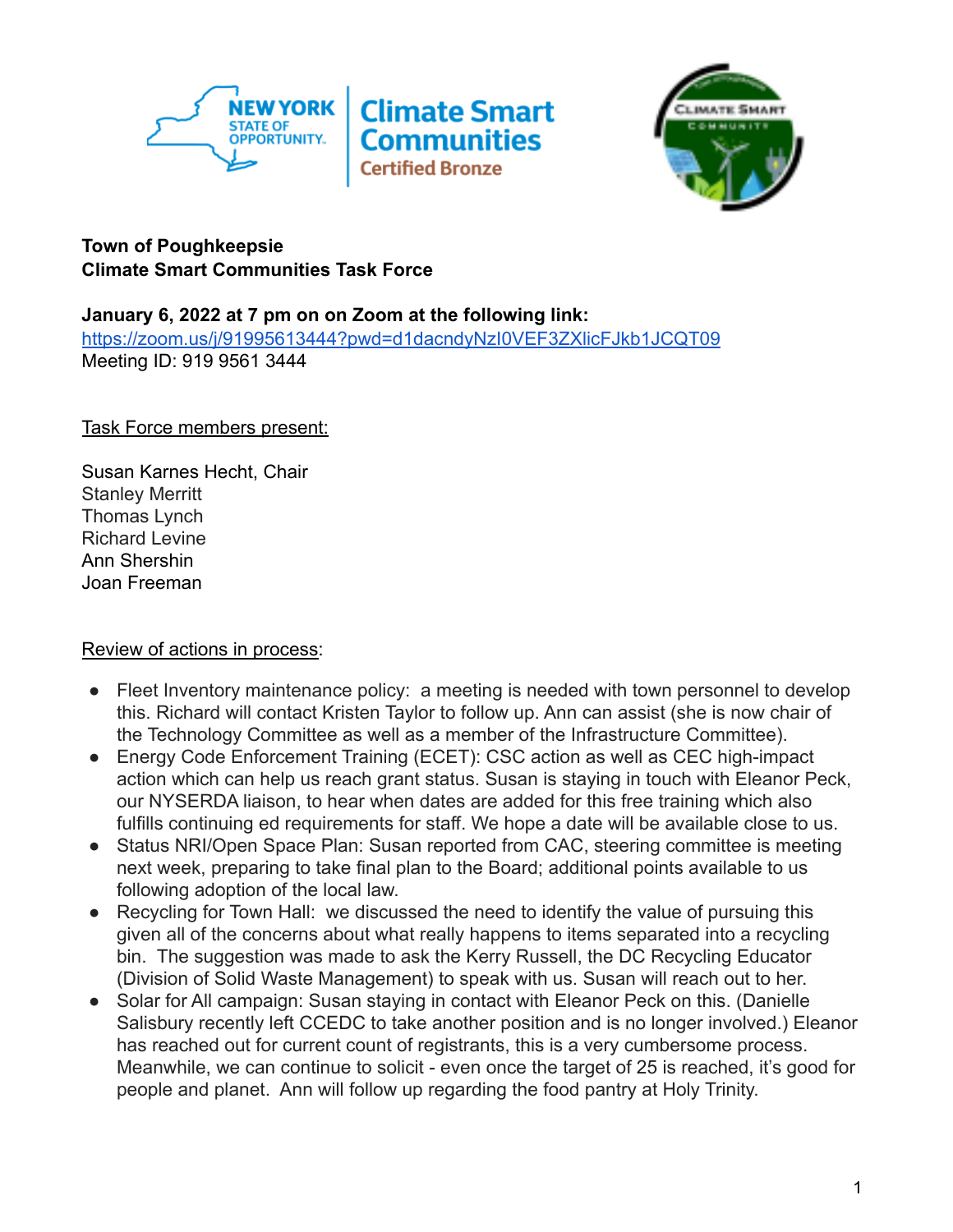



## **Town of Poughkeepsie Climate Smart Communities Task Force**

## **January 6, 2022 at 7 pm on on Zoom at the following link:**

<https://zoom.us/j/91995613444?pwd=d1dacndyNzI0VEF3ZXlicFJkb1JCQT09> Meeting ID: 919 9561 3444

Task Force members present:

Susan Karnes Hecht, Chair Stanley Merritt Thomas Lynch Richard Levine Ann Shershin Joan Freeman

## Review of actions in process:

- Fleet Inventory maintenance policy: a meeting is needed with town personnel to develop this. Richard will contact Kristen Taylor to follow up. Ann can assist (she is now chair of the Technology Committee as well as a member of the Infrastructure Committee).
- Energy Code Enforcement Training (ECET): CSC action as well as CEC high-impact action which can help us reach grant status. Susan is staying in touch with Eleanor Peck, our NYSERDA liaison, to hear when dates are added for this free training which also fulfills continuing ed requirements for staff. We hope a date will be available close to us.
- Status NRI/Open Space Plan: Susan reported from CAC, steering committee is meeting next week, preparing to take final plan to the Board; additional points available to us following adoption of the local law.
- Recycling for Town Hall: we discussed the need to identify the value of pursuing this given all of the concerns about what really happens to items separated into a recycling bin. The suggestion was made to ask the Kerry Russell, the DC Recycling Educator (Division of Solid Waste Management) to speak with us. Susan will reach out to her.
- Solar for All campaign: Susan staying in contact with Eleanor Peck on this. (Danielle Salisbury recently left CCEDC to take another position and is no longer involved.) Eleanor has reached out for current count of registrants, this is a very cumbersome process. Meanwhile, we can continue to solicit - even once the target of 25 is reached, it's good for people and planet. Ann will follow up regarding the food pantry at Holy Trinity.